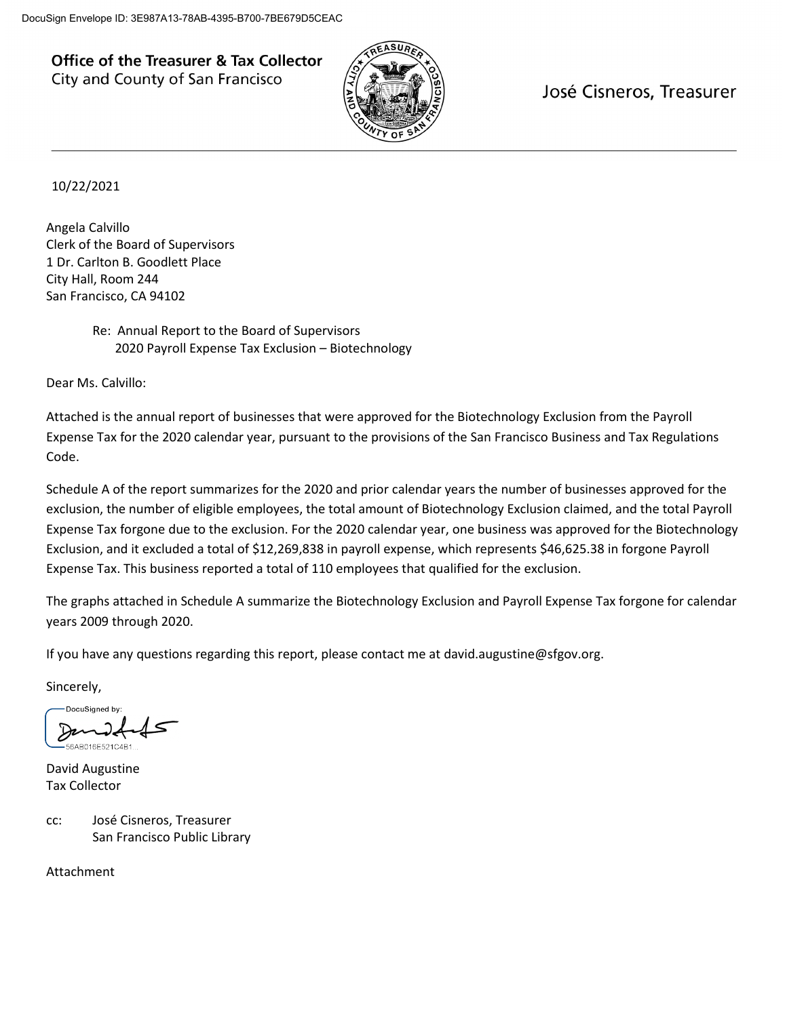**Office of the Treasurer & Tax Collector** City and County of San Francisco



José Cisneros, Treasurer

10/22/2021

Angela Calvillo Clerk of the Board of Supervisors 1 Dr. Carlton B. Goodlett Place City Hall, Room 244 San Francisco, CA 94102

> Re: Annual Report to the Board of Supervisors 2020 Payroll Expense Tax Exclusion – Biotechnology

Dear Ms. Calvillo:

Attached is the annual report of businesses that were approved for the Biotechnology Exclusion from the Payroll Expense Tax for the 2020 calendar year, pursuant to the provisions of the San Francisco Business and Tax Regulations Code.

Schedule A of the report summarizes for the 2020 and prior calendar years the number of businesses approved for the exclusion, the number of eligible employees, the total amount of Biotechnology Exclusion claimed, and the total Payroll Expense Tax forgone due to the exclusion. For the 2020 calendar year, one business was approved for the Biotechnology Exclusion, and it excluded a total of \$12,269,838 in payroll expense, which represents \$46,625.38 in forgone Payroll Expense Tax. This business reported a total of 110 employees that qualified for the exclusion.

The graphs attached in Schedule A summarize the Biotechnology Exclusion and Payroll Expense Tax forgone for calendar years 2009 through 2020.

If you have any questions regarding this report, please contact me at david.augustine@sfgov.org.

Sincerely,

DocuSianed by

David Augustine Tax Collector

cc: José Cisneros, Treasurer San Francisco Public Library

Attachment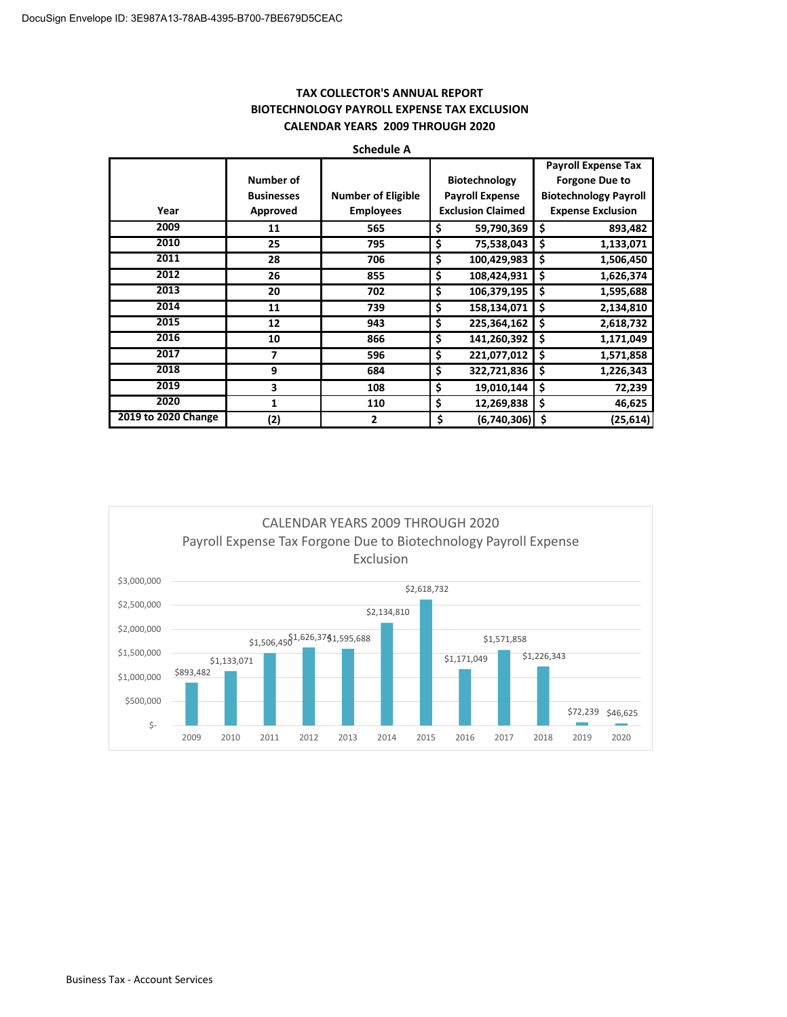| <b>SURGATE A</b>    |                   |                           |                          |                              |  |  |  |  |
|---------------------|-------------------|---------------------------|--------------------------|------------------------------|--|--|--|--|
|                     |                   |                           |                          | <b>Payroll Expense Tax</b>   |  |  |  |  |
|                     | Number of         |                           | <b>Biotechnology</b>     | <b>Forgone Due to</b>        |  |  |  |  |
|                     | <b>Businesses</b> | <b>Number of Eligible</b> | <b>Payroll Expense</b>   | <b>Biotechnology Payroll</b> |  |  |  |  |
| Year                | Approved          | <b>Employees</b>          | <b>Exclusion Claimed</b> | <b>Expense Exclusion</b>     |  |  |  |  |
| 2009                | 11                | 565                       | \$<br>59,790,369         | Ś<br>893,482                 |  |  |  |  |
| 2010                | 25                | 795                       | \$<br>75,538,043         | \$<br>1,133,071              |  |  |  |  |
| 2011                | 28                | 706                       | \$<br>100,429,983        | \$<br>1,506,450              |  |  |  |  |
| 2012                | 26                | 855                       | \$<br>108,424,931        | \$<br>1,626,374              |  |  |  |  |
| 2013                | 20                | 702                       | \$<br>106,379,195        | \$<br>1,595,688              |  |  |  |  |
| 2014                | 11                | 739                       | \$<br>158,134,071        | \$<br>2,134,810              |  |  |  |  |
| 2015                | 12                | 943                       | \$<br>225,364,162        | Ś<br>2,618,732               |  |  |  |  |
| 2016                | 10                | 866                       | \$<br>141,260,392        | \$<br>1,171,049              |  |  |  |  |
| 2017                | 7                 | 596                       | \$<br>221,077,012        | \$<br>1,571,858              |  |  |  |  |
| 2018                | 9                 | 684                       | \$<br>322,721,836        | \$<br>1,226,343              |  |  |  |  |
| 2019                | 3                 | 108                       | \$<br>19,010,144         | \$<br>72,239                 |  |  |  |  |
| 2020                | 1                 | 110                       | \$<br>12,269,838         | \$<br>46,625                 |  |  |  |  |
| 2019 to 2020 Change | (2)               | 2                         | \$<br>(6,740,306)        | -\$<br>(25,614)              |  |  |  |  |

### **TAX COLLECTOR'S ANNUAL REPORT BIOTECHNOLOGY PAYROLL EXPENSE TAX EXCLUSION CALENDAR YEARS 2009 THROUGH 2020**



**Schedule A**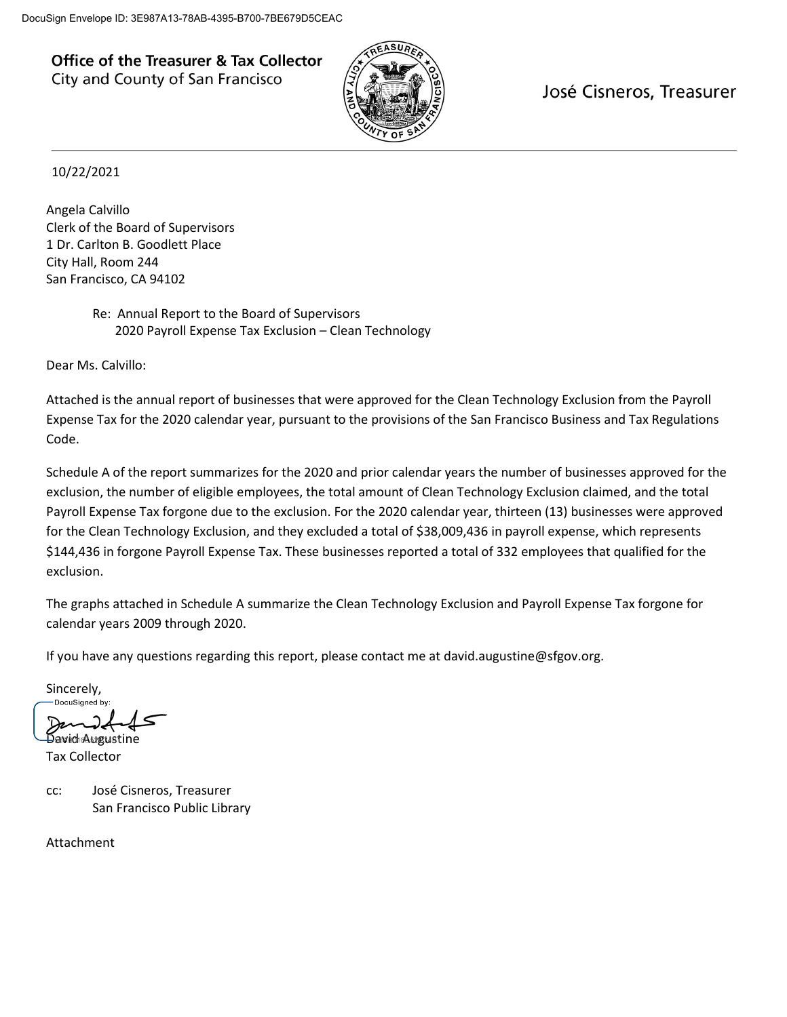**Office of the Treasurer & Tax Collector** City and County of San Francisco



José Cisneros, Treasurer

## 10/22/2021

Angela Calvillo Clerk of the Board of Supervisors 1 Dr. Carlton B. Goodlett Place City Hall, Room 244 San Francisco, CA 94102

> Re: Annual Report to the Board of Supervisors 2020 Payroll Expense Tax Exclusion – Clean Technology

Dear Ms. Calvillo:

Attached is the annual report of businesses that were approved for the Clean Technology Exclusion from the Payroll Expense Tax for the 2020 calendar year, pursuant to the provisions of the San Francisco Business and Tax Regulations Code.

Schedule A of the report summarizes for the 2020 and prior calendar years the number of businesses approved for the exclusion, the number of eligible employees, the total amount of Clean Technology Exclusion claimed, and the total Payroll Expense Tax forgone due to the exclusion. For the 2020 calendar year, thirteen (13) businesses were approved for the Clean Technology Exclusion, and they excluded a total of \$38,009,436 in payroll expense, which represents \$144,436 in forgone Payroll Expense Tax. These businesses reported a total of 332 employees that qualified for the exclusion.

The graphs attached in Schedule A summarize the Clean Technology Exclusion and Payroll Expense Tax forgone for calendar years 2009 through 2020.

If you have any questions regarding this report, please contact me at david.augustine@sfgov.org.

Sincerely,<br>
Sincerely,

Demodel<br>Dawid Augustine

Tax Collector

cc: José Cisneros, Treasurer San Francisco Public Library

Attachment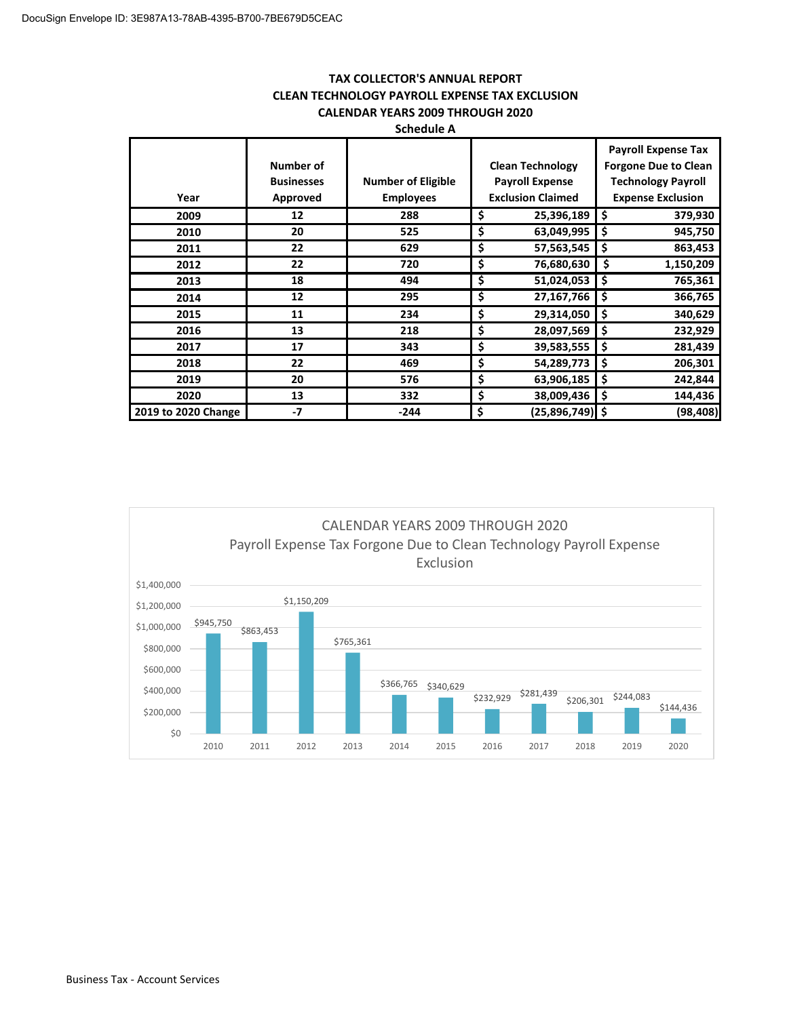#### **TAX COLLECTOR'S ANNUAL REPORT CLEAN TECHNOLOGY PAYROLL EXPENSE TAX EXCLUSION CALENDAR YEARS 2009 THROUGH 2020 Schedule A**

|                     |                                            | JUIIGUUIG A                                   |                                                                               |                                                                                                                    |
|---------------------|--------------------------------------------|-----------------------------------------------|-------------------------------------------------------------------------------|--------------------------------------------------------------------------------------------------------------------|
| Year                | Number of<br><b>Businesses</b><br>Approved | <b>Number of Eligible</b><br><b>Employees</b> | <b>Clean Technology</b><br><b>Payroll Expense</b><br><b>Exclusion Claimed</b> | <b>Payroll Expense Tax</b><br><b>Forgone Due to Clean</b><br><b>Technology Payroll</b><br><b>Expense Exclusion</b> |
| 2009                | 12                                         | 288                                           | \$<br>25,396,189                                                              | \$<br>379,930                                                                                                      |
| 2010                | 20                                         | 525                                           | \$<br>63,049,995                                                              | \$<br>945,750                                                                                                      |
| 2011                | 22                                         | 629                                           | \$<br>57,563,545                                                              | \$<br>863,453                                                                                                      |
| 2012                | 22                                         | 720                                           | \$<br>76,680,630                                                              | \$<br>1,150,209                                                                                                    |
| 2013                | 18                                         | 494                                           | \$<br>51,024,053                                                              | \$<br>765,361                                                                                                      |
| 2014                | 12                                         | 295                                           | \$<br>27,167,766                                                              | \$<br>366,765                                                                                                      |
| 2015                | 11                                         | 234                                           | \$<br>29,314,050                                                              | \$<br>340,629                                                                                                      |
| 2016                | 13                                         | 218                                           | \$<br>28,097,569                                                              | \$<br>232,929                                                                                                      |
| 2017                | 17                                         | 343                                           | \$<br>39,583,555                                                              | \$<br>281,439                                                                                                      |
| 2018                | 22                                         | 469                                           | \$<br>54,289,773                                                              | \$<br>206,301                                                                                                      |
| 2019                | 20                                         | 576                                           | \$<br>63,906,185                                                              | \$<br>242,844                                                                                                      |
| 2020                | 13                                         | 332                                           | \$<br>38,009,436                                                              | \$<br>144,436                                                                                                      |
| 2019 to 2020 Change | $-7$                                       | $-244$                                        | \$<br>$(25,896,749)$ \$                                                       | (98, 408)                                                                                                          |

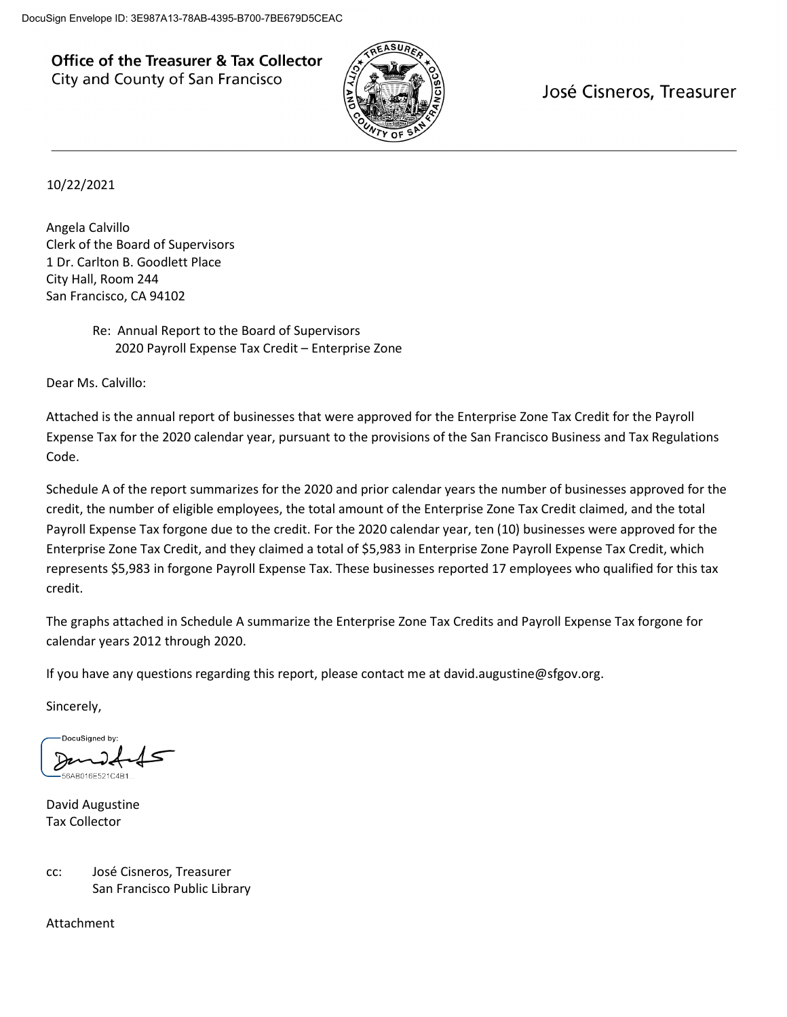**Office of the Treasurer & Tax Collector** City and County of San Francisco



José Cisneros, Treasurer

10/22/2021

Angela Calvillo Clerk of the Board of Supervisors 1 Dr. Carlton B. Goodlett Place City Hall, Room 244 San Francisco, CA 94102

# Re: Annual Report to the Board of Supervisors 2020 Payroll Expense Tax Credit – Enterprise Zone

Dear Ms. Calvillo:

Attached is the annual report of businesses that were approved for the Enterprise Zone Tax Credit for the Payroll Expense Tax for the 2020 calendar year, pursuant to the provisions of the San Francisco Business and Tax Regulations Code.

Schedule A of the report summarizes for the 2020 and prior calendar years the number of businesses approved for the credit, the number of eligible employees, the total amount of the Enterprise Zone Tax Credit claimed, and the total Payroll Expense Tax forgone due to the credit. For the 2020 calendar year, ten (10) businesses were approved for the Enterprise Zone Tax Credit, and they claimed a total of \$5,983 in Enterprise Zone Payroll Expense Tax Credit, which represents \$5,983 in forgone Payroll Expense Tax. These businesses reported 17 employees who qualified for this tax credit.

The graphs attached in Schedule A summarize the Enterprise Zone Tax Credits and Payroll Expense Tax forgone for calendar years 2012 through 2020.

If you have any questions regarding this report, please contact me at david.augustine@sfgov.org.

Sincerely,

DocuSigned by

David Augustine Tax Collector

cc: José Cisneros, Treasurer San Francisco Public Library

Attachment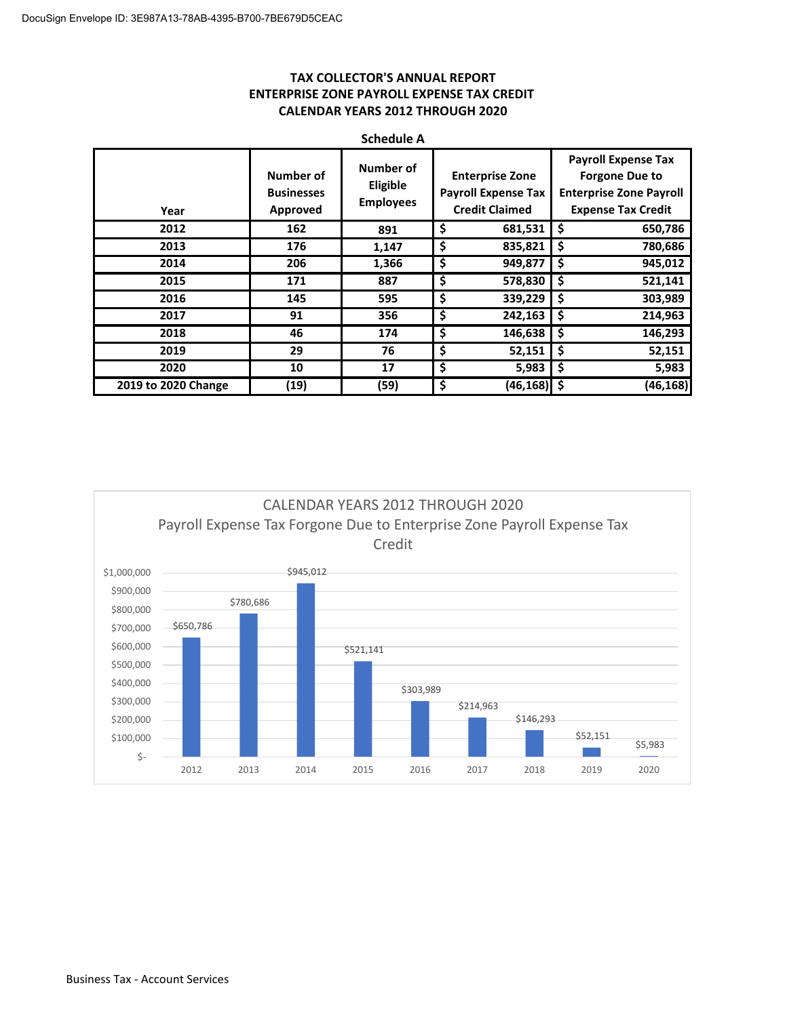## **TAX COLLECTOR'S ANNUAL REPORT ENTERPRISE ZONE PAYROLL EXPENSE TAX CREDIT CALENDAR YEARS 2012 THROUGH 2020**

| <b>Schedule A</b>   |                                            |                                           |                                                                               |                                                                                                                    |  |  |  |
|---------------------|--------------------------------------------|-------------------------------------------|-------------------------------------------------------------------------------|--------------------------------------------------------------------------------------------------------------------|--|--|--|
| Year                | Number of<br><b>Businesses</b><br>Approved | Number of<br>Eligible<br><b>Employees</b> | <b>Enterprise Zone</b><br><b>Payroll Expense Tax</b><br><b>Credit Claimed</b> | <b>Payroll Expense Tax</b><br><b>Forgone Due to</b><br><b>Enterprise Zone Payroll</b><br><b>Expense Tax Credit</b> |  |  |  |
| 2012                | 162                                        | 891                                       | \$<br>681,531                                                                 | \$<br>650,786                                                                                                      |  |  |  |
| 2013                | 176                                        | 1,147                                     | \$<br>835,821                                                                 | \$<br>780,686                                                                                                      |  |  |  |
| 2014                | 206                                        | 1,366                                     | \$<br>949,877                                                                 | \$<br>945,012                                                                                                      |  |  |  |
| 2015                | 171                                        | 887                                       | \$<br>578,830                                                                 | \$<br>521,141                                                                                                      |  |  |  |
| 2016                | 145                                        | 595                                       | \$<br>339,229                                                                 | \$<br>303,989                                                                                                      |  |  |  |
| 2017                | 91                                         | 356                                       | \$<br>242,163                                                                 | \$<br>214,963                                                                                                      |  |  |  |
| 2018                | 46                                         | 174                                       | \$<br>146,638                                                                 | \$<br>146,293                                                                                                      |  |  |  |
| 2019                | 29                                         | 76                                        | \$<br>52,151                                                                  | \$<br>52,151                                                                                                       |  |  |  |
| 2020                | 10                                         | 17                                        | \$<br>5,983                                                                   | \$<br>5,983                                                                                                        |  |  |  |
| 2019 to 2020 Change | (19)                                       | (59)                                      | \$<br>$(46, 168)$ \$                                                          | (46, 168)                                                                                                          |  |  |  |